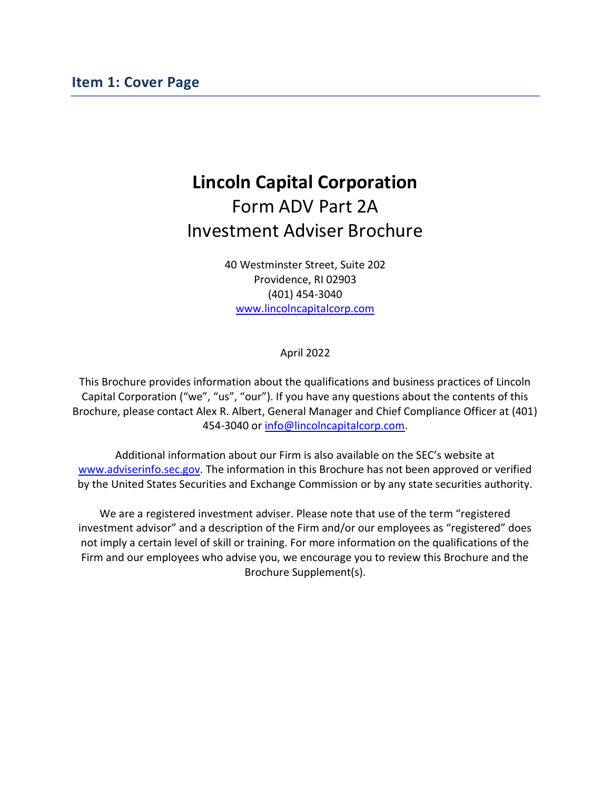# Lincoln Capital Corporation Form ADV Part 2A Investment Adviser Brochure

40 Westminster Street, Suite 202 Providence, RI 02903 (401) 454-3040 www.lincolncapitalcorp.com

April 2022

This Brochure provides information about the qualifications and business practices of Lincoln Capital Corporation ("we", "us", "our"). If you have any questions about the contents of this Brochure, please contact Alex R. Albert, General Manager and Chief Compliance Officer at (401) 454-3040 or info@lincolncapitalcorp.com.

Additional information about our Firm is also available on the SEC's website at www.adviserinfo.sec.gov. The information in this Brochure has not been approved or verified by the United States Securities and Exchange Commission or by any state securities authority.

We are a registered investment adviser. Please note that use of the term "registered investment advisor" and a description of the Firm and/or our employees as "registered" does not imply a certain level of skill or training. For more information on the qualifications of the Firm and our employees who advise you, we encourage you to review this Brochure and the Brochure Supplement(s).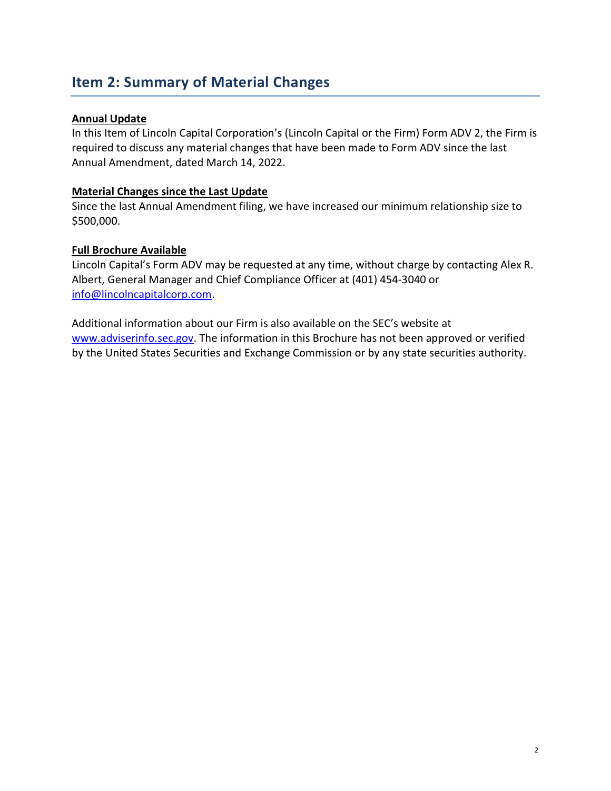### Item 2: Summary of Material Changes

#### Annual Update

In this Item of Lincoln Capital Corporation's (Lincoln Capital or the Firm) Form ADV 2, the Firm is required to discuss any material changes that have been made to Form ADV since the last Annual Amendment, dated March 14, 2022.

#### Material Changes since the Last Update

Since the last Annual Amendment filing, we have increased our minimum relationship size to \$500,000.

#### Full Brochure Available

Lincoln Capital's Form ADV may be requested at any time, without charge by contacting Alex R. Albert, General Manager and Chief Compliance Officer at (401) 454-3040 or info@lincolncapitalcorp.com.

Additional information about our Firm is also available on the SEC's website at www.adviserinfo.sec.gov. The information in this Brochure has not been approved or verified by the United States Securities and Exchange Commission or by any state securities authority.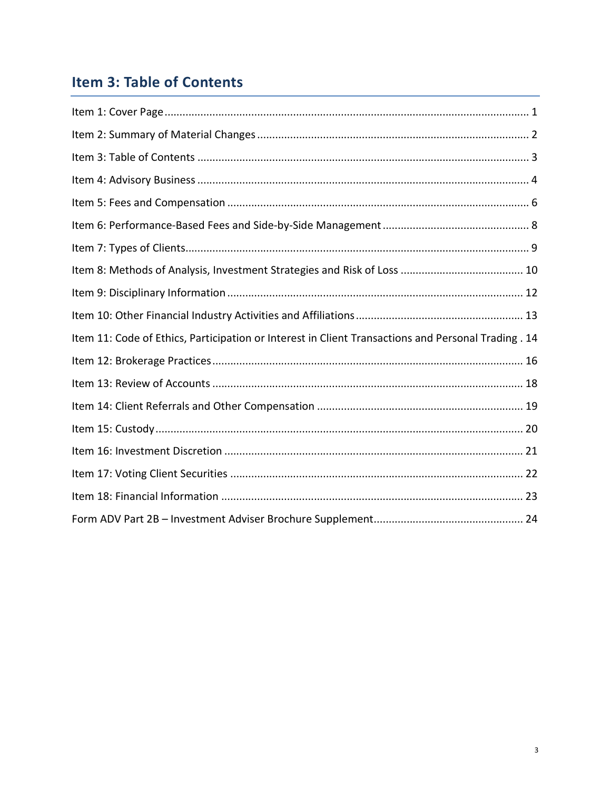# Item 3: Table of Contents

| Item 11: Code of Ethics, Participation or Interest in Client Transactions and Personal Trading . 14 |
|-----------------------------------------------------------------------------------------------------|
|                                                                                                     |
|                                                                                                     |
|                                                                                                     |
|                                                                                                     |
|                                                                                                     |
|                                                                                                     |
|                                                                                                     |
|                                                                                                     |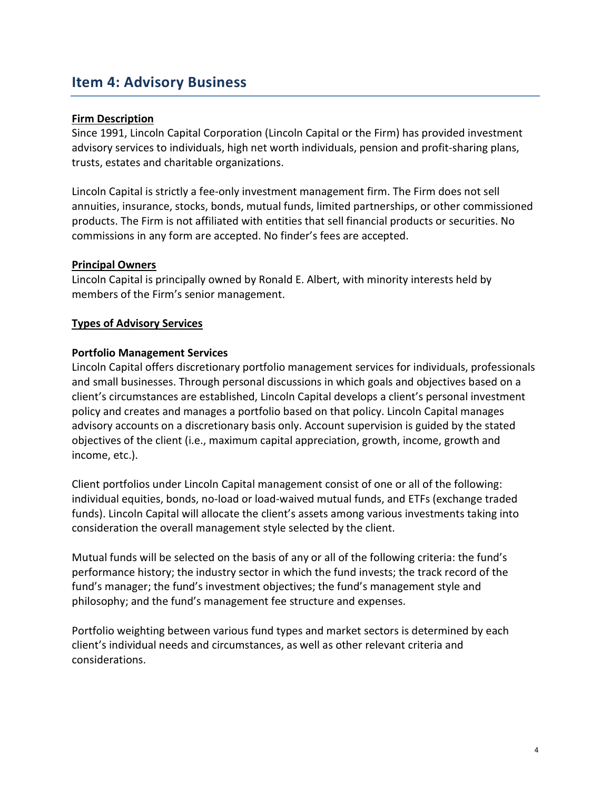### Item 4: Advisory Business

#### Firm Description

Since 1991, Lincoln Capital Corporation (Lincoln Capital or the Firm) has provided investment advisory services to individuals, high net worth individuals, pension and profit-sharing plans, trusts, estates and charitable organizations.

Lincoln Capital is strictly a fee-only investment management firm. The Firm does not sell annuities, insurance, stocks, bonds, mutual funds, limited partnerships, or other commissioned products. The Firm is not affiliated with entities that sell financial products or securities. No commissions in any form are accepted. No finder's fees are accepted.

#### Principal Owners

Lincoln Capital is principally owned by Ronald E. Albert, with minority interests held by members of the Firm's senior management.

#### Types of Advisory Services

#### Portfolio Management Services

Lincoln Capital offers discretionary portfolio management services for individuals, professionals and small businesses. Through personal discussions in which goals and objectives based on a client's circumstances are established, Lincoln Capital develops a client's personal investment policy and creates and manages a portfolio based on that policy. Lincoln Capital manages advisory accounts on a discretionary basis only. Account supervision is guided by the stated objectives of the client (i.e., maximum capital appreciation, growth, income, growth and income, etc.).

Client portfolios under Lincoln Capital management consist of one or all of the following: individual equities, bonds, no-load or load-waived mutual funds, and ETFs (exchange traded funds). Lincoln Capital will allocate the client's assets among various investments taking into consideration the overall management style selected by the client.

Mutual funds will be selected on the basis of any or all of the following criteria: the fund's performance history; the industry sector in which the fund invests; the track record of the fund's manager; the fund's investment objectives; the fund's management style and philosophy; and the fund's management fee structure and expenses.

Portfolio weighting between various fund types and market sectors is determined by each client's individual needs and circumstances, as well as other relevant criteria and considerations.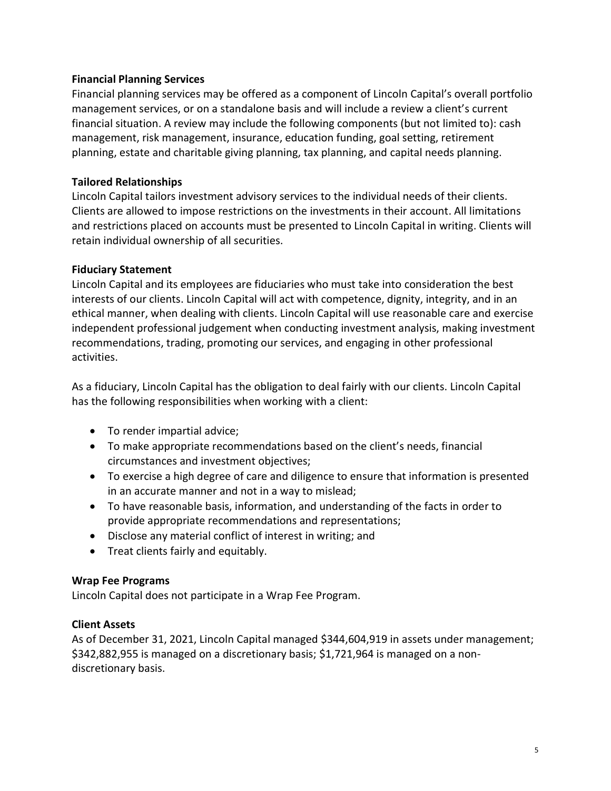#### Financial Planning Services

Financial planning services may be offered as a component of Lincoln Capital's overall portfolio management services, or on a standalone basis and will include a review a client's current financial situation. A review may include the following components (but not limited to): cash management, risk management, insurance, education funding, goal setting, retirement planning, estate and charitable giving planning, tax planning, and capital needs planning.

#### Tailored Relationships

Lincoln Capital tailors investment advisory services to the individual needs of their clients. Clients are allowed to impose restrictions on the investments in their account. All limitations and restrictions placed on accounts must be presented to Lincoln Capital in writing. Clients will retain individual ownership of all securities.

#### Fiduciary Statement

Lincoln Capital and its employees are fiduciaries who must take into consideration the best interests of our clients. Lincoln Capital will act with competence, dignity, integrity, and in an ethical manner, when dealing with clients. Lincoln Capital will use reasonable care and exercise independent professional judgement when conducting investment analysis, making investment recommendations, trading, promoting our services, and engaging in other professional activities.

As a fiduciary, Lincoln Capital has the obligation to deal fairly with our clients. Lincoln Capital has the following responsibilities when working with a client:

- To render impartial advice;
- To make appropriate recommendations based on the client's needs, financial circumstances and investment objectives;
- To exercise a high degree of care and diligence to ensure that information is presented in an accurate manner and not in a way to mislead;
- To have reasonable basis, information, and understanding of the facts in order to provide appropriate recommendations and representations;
- Disclose any material conflict of interest in writing; and
- Treat clients fairly and equitably.

#### Wrap Fee Programs

Lincoln Capital does not participate in a Wrap Fee Program.

#### Client Assets

As of December 31, 2021, Lincoln Capital managed \$344,604,919 in assets under management; \$342,882,955 is managed on a discretionary basis; \$1,721,964 is managed on a nondiscretionary basis.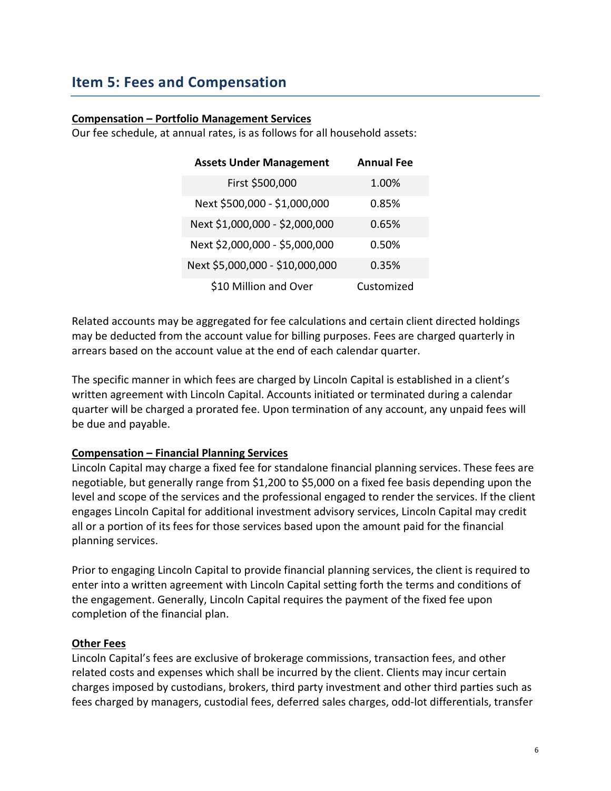### Item 5: Fees and Compensation

#### Compensation – Portfolio Management Services

Our fee schedule, at annual rates, is as follows for all household assets:

| <b>Assets Under Management</b>  | <b>Annual Fee</b> |
|---------------------------------|-------------------|
| First \$500,000                 | 1.00%             |
| Next \$500,000 - \$1,000,000    | 0.85%             |
| Next \$1,000,000 - \$2,000,000  | 0.65%             |
| Next \$2,000,000 - \$5,000,000  | 0.50%             |
| Next \$5,000,000 - \$10,000,000 | 0.35%             |
| \$10 Million and Over           | Customized        |

Related accounts may be aggregated for fee calculations and certain client directed holdings may be deducted from the account value for billing purposes. Fees are charged quarterly in arrears based on the account value at the end of each calendar quarter.

The specific manner in which fees are charged by Lincoln Capital is established in a client's written agreement with Lincoln Capital. Accounts initiated or terminated during a calendar quarter will be charged a prorated fee. Upon termination of any account, any unpaid fees will be due and payable.

#### Compensation – Financial Planning Services

Lincoln Capital may charge a fixed fee for standalone financial planning services. These fees are negotiable, but generally range from \$1,200 to \$5,000 on a fixed fee basis depending upon the level and scope of the services and the professional engaged to render the services. If the client engages Lincoln Capital for additional investment advisory services, Lincoln Capital may credit all or a portion of its fees for those services based upon the amount paid for the financial planning services.

Prior to engaging Lincoln Capital to provide financial planning services, the client is required to enter into a written agreement with Lincoln Capital setting forth the terms and conditions of the engagement. Generally, Lincoln Capital requires the payment of the fixed fee upon completion of the financial plan.

#### Other Fees

Lincoln Capital's fees are exclusive of brokerage commissions, transaction fees, and other related costs and expenses which shall be incurred by the client. Clients may incur certain charges imposed by custodians, brokers, third party investment and other third parties such as fees charged by managers, custodial fees, deferred sales charges, odd-lot differentials, transfer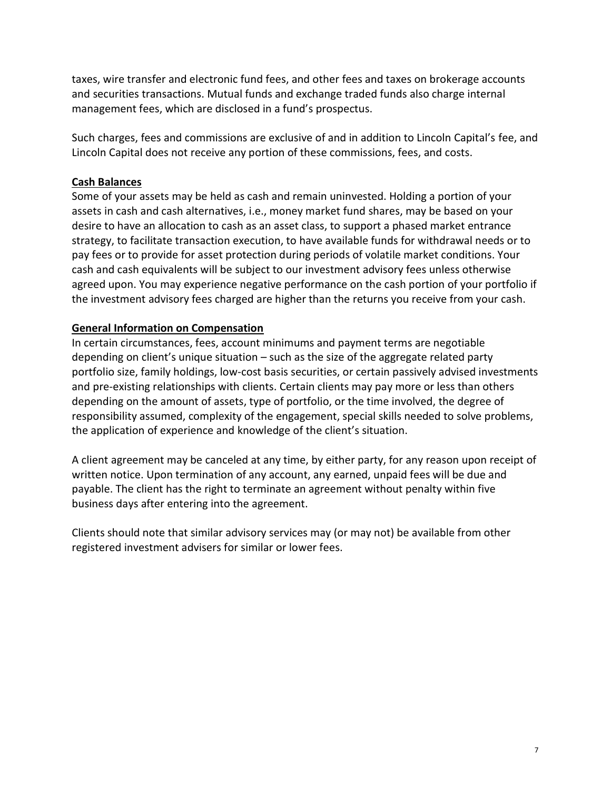taxes, wire transfer and electronic fund fees, and other fees and taxes on brokerage accounts and securities transactions. Mutual funds and exchange traded funds also charge internal management fees, which are disclosed in a fund's prospectus.

Such charges, fees and commissions are exclusive of and in addition to Lincoln Capital's fee, and Lincoln Capital does not receive any portion of these commissions, fees, and costs.

#### Cash Balances

Some of your assets may be held as cash and remain uninvested. Holding a portion of your assets in cash and cash alternatives, i.e., money market fund shares, may be based on your desire to have an allocation to cash as an asset class, to support a phased market entrance strategy, to facilitate transaction execution, to have available funds for withdrawal needs or to pay fees or to provide for asset protection during periods of volatile market conditions. Your cash and cash equivalents will be subject to our investment advisory fees unless otherwise agreed upon. You may experience negative performance on the cash portion of your portfolio if the investment advisory fees charged are higher than the returns you receive from your cash.

#### General Information on Compensation

In certain circumstances, fees, account minimums and payment terms are negotiable depending on client's unique situation – such as the size of the aggregate related party portfolio size, family holdings, low-cost basis securities, or certain passively advised investments and pre-existing relationships with clients. Certain clients may pay more or less than others depending on the amount of assets, type of portfolio, or the time involved, the degree of responsibility assumed, complexity of the engagement, special skills needed to solve problems, the application of experience and knowledge of the client's situation.

A client agreement may be canceled at any time, by either party, for any reason upon receipt of written notice. Upon termination of any account, any earned, unpaid fees will be due and payable. The client has the right to terminate an agreement without penalty within five business days after entering into the agreement.

Clients should note that similar advisory services may (or may not) be available from other registered investment advisers for similar or lower fees.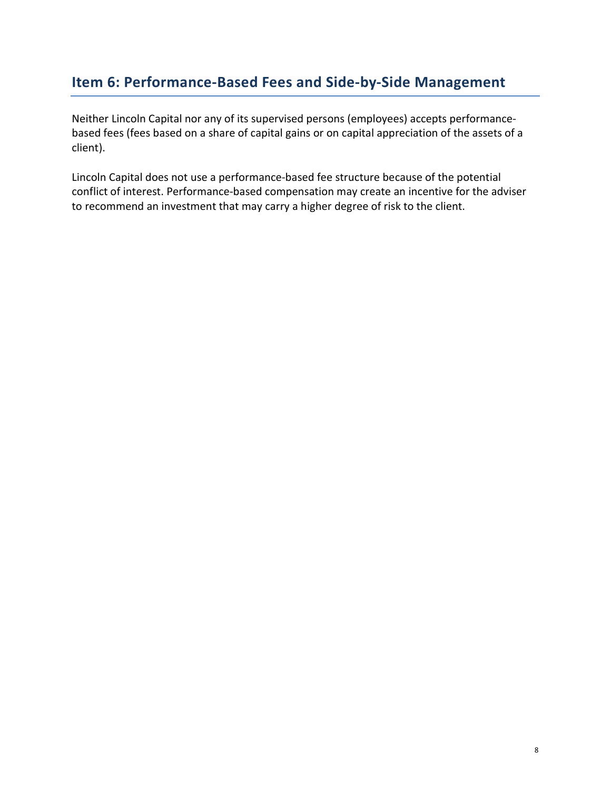## Item 6: Performance-Based Fees and Side-by-Side Management

Neither Lincoln Capital nor any of its supervised persons (employees) accepts performancebased fees (fees based on a share of capital gains or on capital appreciation of the assets of a client).

Lincoln Capital does not use a performance-based fee structure because of the potential conflict of interest. Performance-based compensation may create an incentive for the adviser to recommend an investment that may carry a higher degree of risk to the client.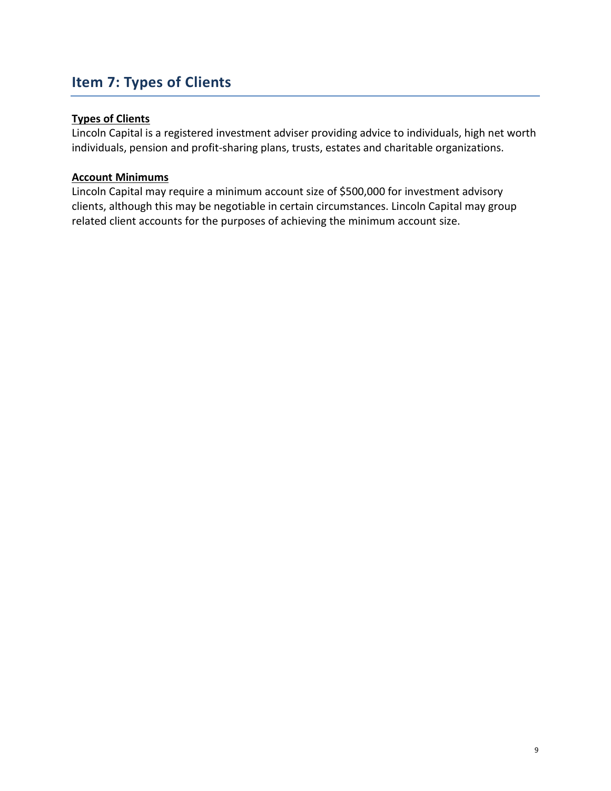### Item 7: Types of Clients

#### Types of Clients

Lincoln Capital is a registered investment adviser providing advice to individuals, high net worth individuals, pension and profit-sharing plans, trusts, estates and charitable organizations.

#### Account Minimums

Lincoln Capital may require a minimum account size of \$500,000 for investment advisory clients, although this may be negotiable in certain circumstances. Lincoln Capital may group related client accounts for the purposes of achieving the minimum account size.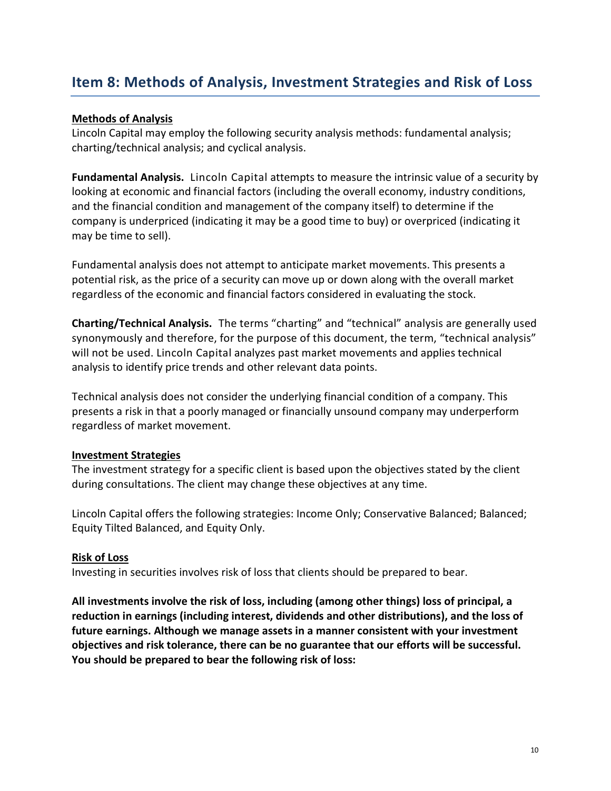## Item 8: Methods of Analysis, Investment Strategies and Risk of Loss

#### Methods of Analysis

Lincoln Capital may employ the following security analysis methods: fundamental analysis; charting/technical analysis; and cyclical analysis.

Fundamental Analysis. Lincoln Capital attempts to measure the intrinsic value of a security by looking at economic and financial factors (including the overall economy, industry conditions, and the financial condition and management of the company itself) to determine if the company is underpriced (indicating it may be a good time to buy) or overpriced (indicating it may be time to sell).

Fundamental analysis does not attempt to anticipate market movements. This presents a potential risk, as the price of a security can move up or down along with the overall market regardless of the economic and financial factors considered in evaluating the stock.

Charting/Technical Analysis. The terms "charting" and "technical" analysis are generally used synonymously and therefore, for the purpose of this document, the term, "technical analysis" will not be used. Lincoln Capital analyzes past market movements and applies technical analysis to identify price trends and other relevant data points.

Technical analysis does not consider the underlying financial condition of a company. This presents a risk in that a poorly managed or financially unsound company may underperform regardless of market movement.

#### Investment Strategies

The investment strategy for a specific client is based upon the objectives stated by the client during consultations. The client may change these objectives at any time.

Lincoln Capital offers the following strategies: Income Only; Conservative Balanced; Balanced; Equity Tilted Balanced, and Equity Only.

#### Risk of Loss

Investing in securities involves risk of loss that clients should be prepared to bear.

All investments involve the risk of loss, including (among other things) loss of principal, a reduction in earnings (including interest, dividends and other distributions), and the loss of future earnings. Although we manage assets in a manner consistent with your investment objectives and risk tolerance, there can be no guarantee that our efforts will be successful. You should be prepared to bear the following risk of loss: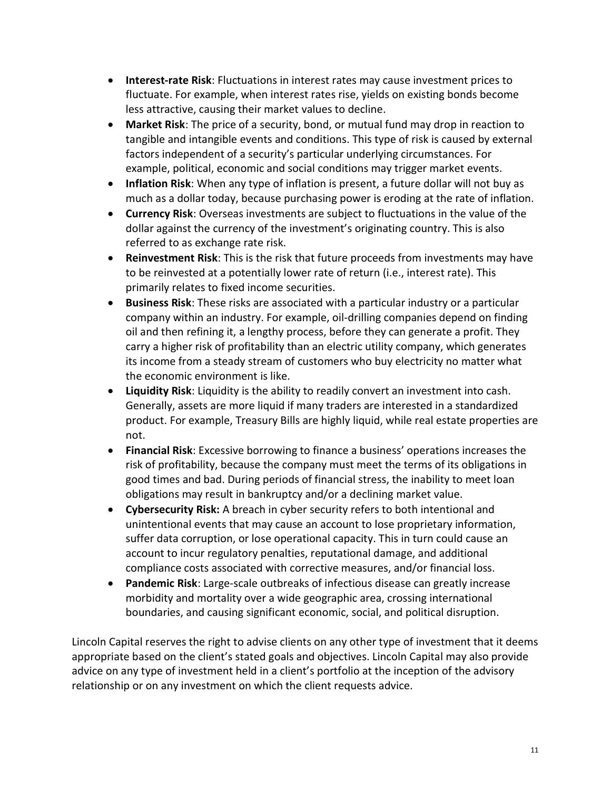- **Interest-rate Risk:** Fluctuations in interest rates may cause investment prices to fluctuate. For example, when interest rates rise, yields on existing bonds become less attractive, causing their market values to decline.
- Market Risk: The price of a security, bond, or mutual fund may drop in reaction to tangible and intangible events and conditions. This type of risk is caused by external factors independent of a security's particular underlying circumstances. For example, political, economic and social conditions may trigger market events.
- Inflation Risk: When any type of inflation is present, a future dollar will not buy as much as a dollar today, because purchasing power is eroding at the rate of inflation.
- **Currency Risk:** Overseas investments are subject to fluctuations in the value of the dollar against the currency of the investment's originating country. This is also referred to as exchange rate risk.
- Reinvestment Risk: This is the risk that future proceeds from investments may have to be reinvested at a potentially lower rate of return (i.e., interest rate). This primarily relates to fixed income securities.
- Business Risk: These risks are associated with a particular industry or a particular company within an industry. For example, oil-drilling companies depend on finding oil and then refining it, a lengthy process, before they can generate a profit. They carry a higher risk of profitability than an electric utility company, which generates its income from a steady stream of customers who buy electricity no matter what the economic environment is like.
- Liquidity Risk: Liquidity is the ability to readily convert an investment into cash. Generally, assets are more liquid if many traders are interested in a standardized product. For example, Treasury Bills are highly liquid, while real estate properties are not.
- Financial Risk: Excessive borrowing to finance a business' operations increases the risk of profitability, because the company must meet the terms of its obligations in good times and bad. During periods of financial stress, the inability to meet loan obligations may result in bankruptcy and/or a declining market value.
- Cybersecurity Risk: A breach in cyber security refers to both intentional and unintentional events that may cause an account to lose proprietary information, suffer data corruption, or lose operational capacity. This in turn could cause an account to incur regulatory penalties, reputational damage, and additional compliance costs associated with corrective measures, and/or financial loss.
- Pandemic Risk: Large-scale outbreaks of infectious disease can greatly increase morbidity and mortality over a wide geographic area, crossing international boundaries, and causing significant economic, social, and political disruption.

Lincoln Capital reserves the right to advise clients on any other type of investment that it deems appropriate based on the client's stated goals and objectives. Lincoln Capital may also provide advice on any type of investment held in a client's portfolio at the inception of the advisory relationship or on any investment on which the client requests advice.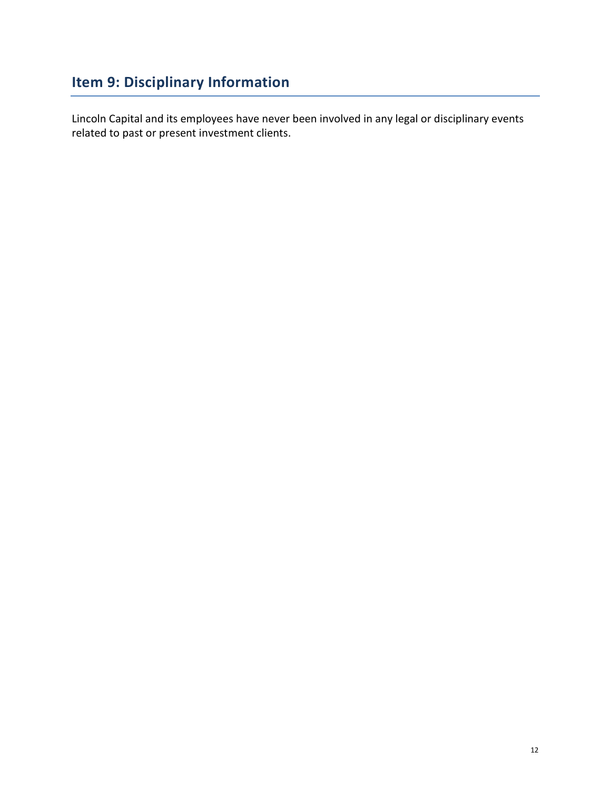# Item 9: Disciplinary Information

Lincoln Capital and its employees have never been involved in any legal or disciplinary events related to past or present investment clients.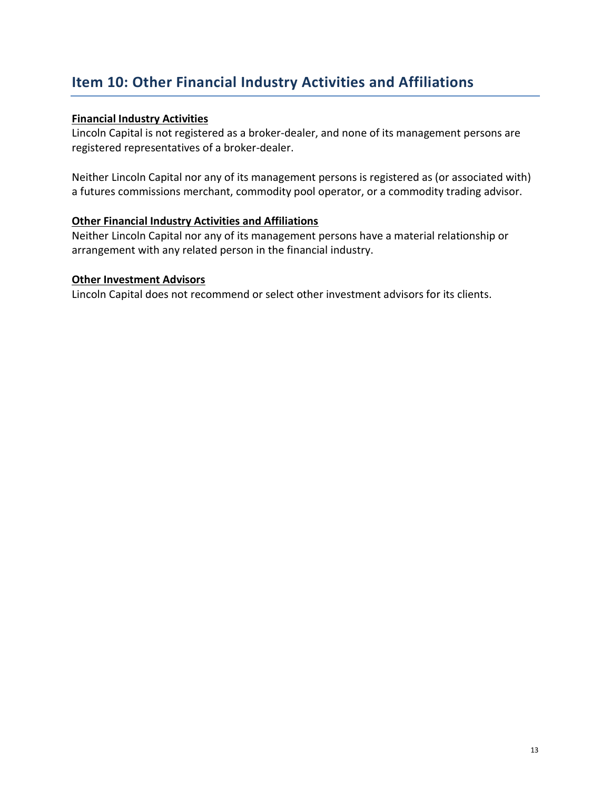## Item 10: Other Financial Industry Activities and Affiliations

#### Financial Industry Activities

Lincoln Capital is not registered as a broker-dealer, and none of its management persons are registered representatives of a broker-dealer.

Neither Lincoln Capital nor any of its management persons is registered as (or associated with) a futures commissions merchant, commodity pool operator, or a commodity trading advisor.

#### Other Financial Industry Activities and Affiliations

Neither Lincoln Capital nor any of its management persons have a material relationship or arrangement with any related person in the financial industry.

#### Other Investment Advisors

Lincoln Capital does not recommend or select other investment advisors for its clients.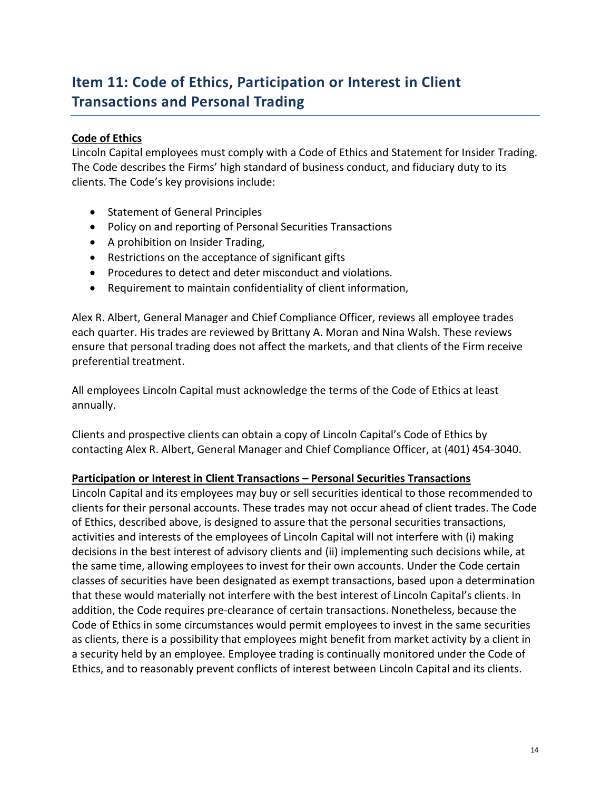## Item 11: Code of Ethics, Participation or Interest in Client Transactions and Personal Trading

#### Code of Ethics

Lincoln Capital employees must comply with a Code of Ethics and Statement for Insider Trading. The Code describes the Firms' high standard of business conduct, and fiduciary duty to its clients. The Code's key provisions include:

- Statement of General Principles
- Policy on and reporting of Personal Securities Transactions
- A prohibition on Insider Trading,
- Restrictions on the acceptance of significant gifts
- Procedures to detect and deter misconduct and violations.
- Requirement to maintain confidentiality of client information,

Alex R. Albert, General Manager and Chief Compliance Officer, reviews all employee trades each quarter. His trades are reviewed by Brittany A. Moran and Nina Walsh. These reviews ensure that personal trading does not affect the markets, and that clients of the Firm receive preferential treatment.

All employees Lincoln Capital must acknowledge the terms of the Code of Ethics at least annually.

Clients and prospective clients can obtain a copy of Lincoln Capital's Code of Ethics by contacting Alex R. Albert, General Manager and Chief Compliance Officer, at (401) 454-3040.

#### Participation or Interest in Client Transactions – Personal Securities Transactions

Lincoln Capital and its employees may buy or sell securities identical to those recommended to clients for their personal accounts. These trades may not occur ahead of client trades. The Code of Ethics, described above, is designed to assure that the personal securities transactions, activities and interests of the employees of Lincoln Capital will not interfere with (i) making decisions in the best interest of advisory clients and (ii) implementing such decisions while, at the same time, allowing employees to invest for their own accounts. Under the Code certain classes of securities have been designated as exempt transactions, based upon a determination that these would materially not interfere with the best interest of Lincoln Capital's clients. In addition, the Code requires pre-clearance of certain transactions. Nonetheless, because the Code of Ethics in some circumstances would permit employees to invest in the same securities as clients, there is a possibility that employees might benefit from market activity by a client in a security held by an employee. Employee trading is continually monitored under the Code of Ethics, and to reasonably prevent conflicts of interest between Lincoln Capital and its clients.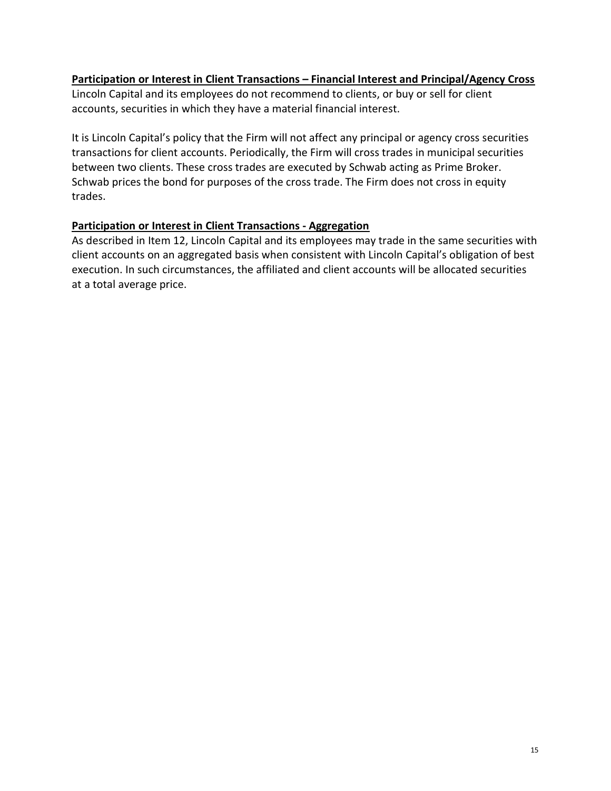#### Participation or Interest in Client Transactions – Financial Interest and Principal/Agency Cross

Lincoln Capital and its employees do not recommend to clients, or buy or sell for client accounts, securities in which they have a material financial interest.

It is Lincoln Capital's policy that the Firm will not affect any principal or agency cross securities transactions for client accounts. Periodically, the Firm will cross trades in municipal securities between two clients. These cross trades are executed by Schwab acting as Prime Broker. Schwab prices the bond for purposes of the cross trade. The Firm does not cross in equity trades.

#### Participation or Interest in Client Transactions - Aggregation

As described in Item 12, Lincoln Capital and its employees may trade in the same securities with client accounts on an aggregated basis when consistent with Lincoln Capital's obligation of best execution. In such circumstances, the affiliated and client accounts will be allocated securities at a total average price.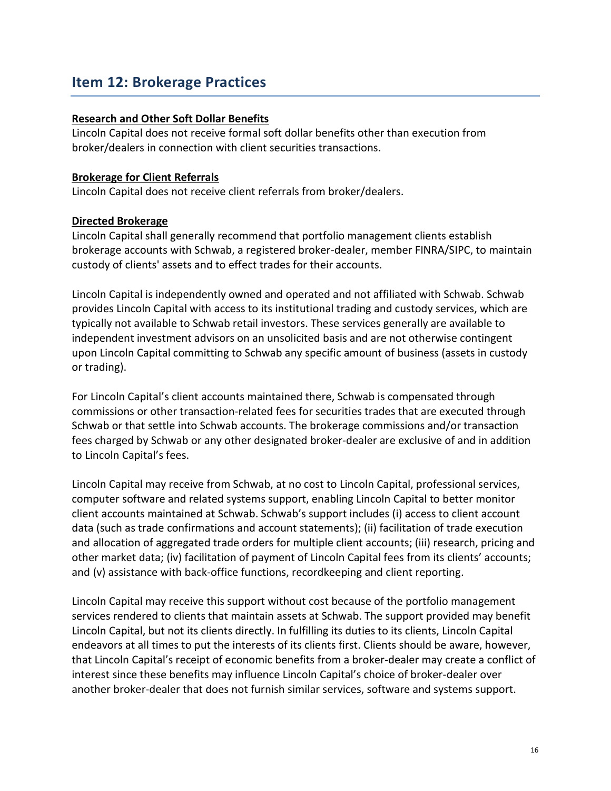### Item 12: Brokerage Practices

#### Research and Other Soft Dollar Benefits

Lincoln Capital does not receive formal soft dollar benefits other than execution from broker/dealers in connection with client securities transactions.

#### Brokerage for Client Referrals

Lincoln Capital does not receive client referrals from broker/dealers.

#### Directed Brokerage

Lincoln Capital shall generally recommend that portfolio management clients establish brokerage accounts with Schwab, a registered broker-dealer, member FINRA/SIPC, to maintain custody of clients' assets and to effect trades for their accounts.

Lincoln Capital is independently owned and operated and not affiliated with Schwab. Schwab provides Lincoln Capital with access to its institutional trading and custody services, which are typically not available to Schwab retail investors. These services generally are available to independent investment advisors on an unsolicited basis and are not otherwise contingent upon Lincoln Capital committing to Schwab any specific amount of business (assets in custody or trading).

For Lincoln Capital's client accounts maintained there, Schwab is compensated through commissions or other transaction-related fees for securities trades that are executed through Schwab or that settle into Schwab accounts. The brokerage commissions and/or transaction fees charged by Schwab or any other designated broker-dealer are exclusive of and in addition to Lincoln Capital's fees.

Lincoln Capital may receive from Schwab, at no cost to Lincoln Capital, professional services, computer software and related systems support, enabling Lincoln Capital to better monitor client accounts maintained at Schwab. Schwab's support includes (i) access to client account data (such as trade confirmations and account statements); (ii) facilitation of trade execution and allocation of aggregated trade orders for multiple client accounts; (iii) research, pricing and other market data; (iv) facilitation of payment of Lincoln Capital fees from its clients' accounts; and (v) assistance with back-office functions, recordkeeping and client reporting.

Lincoln Capital may receive this support without cost because of the portfolio management services rendered to clients that maintain assets at Schwab. The support provided may benefit Lincoln Capital, but not its clients directly. In fulfilling its duties to its clients, Lincoln Capital endeavors at all times to put the interests of its clients first. Clients should be aware, however, that Lincoln Capital's receipt of economic benefits from a broker-dealer may create a conflict of interest since these benefits may influence Lincoln Capital's choice of broker-dealer over another broker-dealer that does not furnish similar services, software and systems support.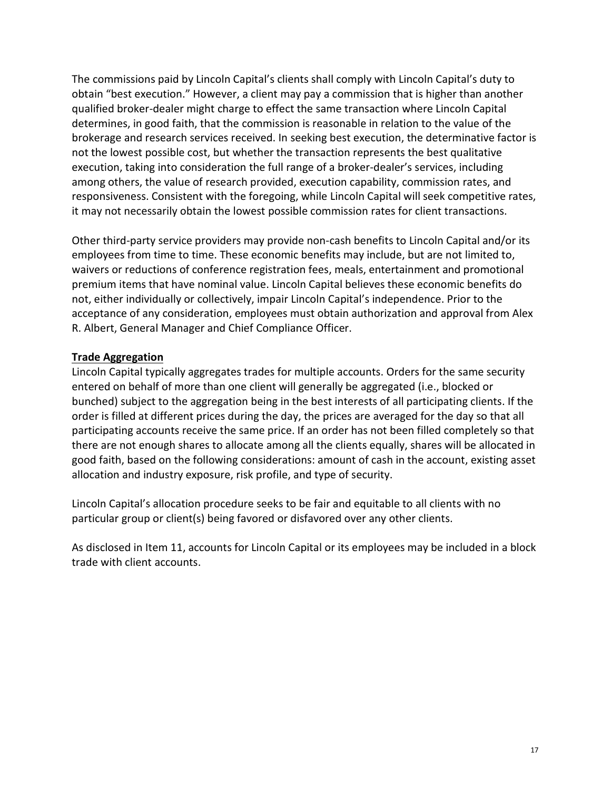The commissions paid by Lincoln Capital's clients shall comply with Lincoln Capital's duty to obtain "best execution." However, a client may pay a commission that is higher than another qualified broker-dealer might charge to effect the same transaction where Lincoln Capital determines, in good faith, that the commission is reasonable in relation to the value of the brokerage and research services received. In seeking best execution, the determinative factor is not the lowest possible cost, but whether the transaction represents the best qualitative execution, taking into consideration the full range of a broker-dealer's services, including among others, the value of research provided, execution capability, commission rates, and responsiveness. Consistent with the foregoing, while Lincoln Capital will seek competitive rates, it may not necessarily obtain the lowest possible commission rates for client transactions.

Other third-party service providers may provide non-cash benefits to Lincoln Capital and/or its employees from time to time. These economic benefits may include, but are not limited to, waivers or reductions of conference registration fees, meals, entertainment and promotional premium items that have nominal value. Lincoln Capital believes these economic benefits do not, either individually or collectively, impair Lincoln Capital's independence. Prior to the acceptance of any consideration, employees must obtain authorization and approval from Alex R. Albert, General Manager and Chief Compliance Officer.

#### Trade Aggregation

Lincoln Capital typically aggregates trades for multiple accounts. Orders for the same security entered on behalf of more than one client will generally be aggregated (i.e., blocked or bunched) subject to the aggregation being in the best interests of all participating clients. If the order is filled at different prices during the day, the prices are averaged for the day so that all participating accounts receive the same price. If an order has not been filled completely so that there are not enough shares to allocate among all the clients equally, shares will be allocated in good faith, based on the following considerations: amount of cash in the account, existing asset allocation and industry exposure, risk profile, and type of security.

Lincoln Capital's allocation procedure seeks to be fair and equitable to all clients with no particular group or client(s) being favored or disfavored over any other clients.

As disclosed in Item 11, accounts for Lincoln Capital or its employees may be included in a block trade with client accounts.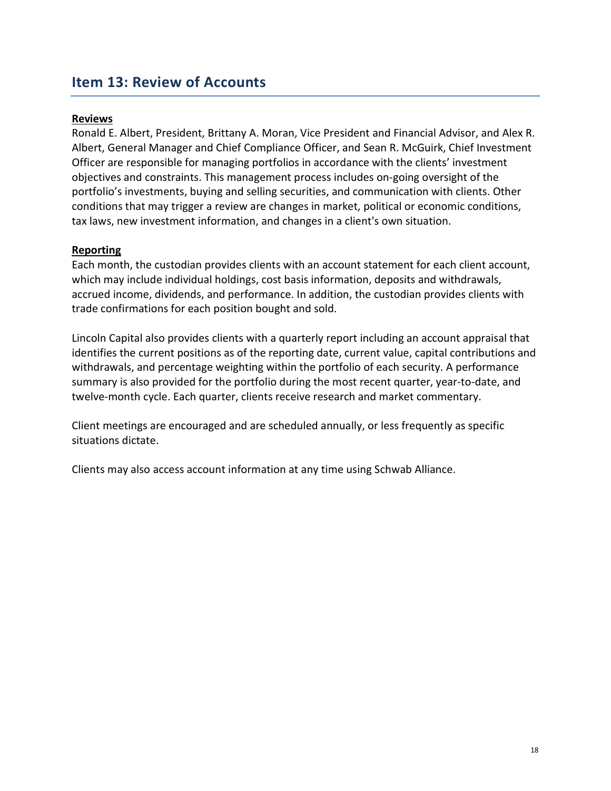### Item 13: Review of Accounts

#### Reviews

Ronald E. Albert, President, Brittany A. Moran, Vice President and Financial Advisor, and Alex R. Albert, General Manager and Chief Compliance Officer, and Sean R. McGuirk, Chief Investment Officer are responsible for managing portfolios in accordance with the clients' investment objectives and constraints. This management process includes on-going oversight of the portfolio's investments, buying and selling securities, and communication with clients. Other conditions that may trigger a review are changes in market, political or economic conditions, tax laws, new investment information, and changes in a client's own situation.

#### Reporting

Each month, the custodian provides clients with an account statement for each client account, which may include individual holdings, cost basis information, deposits and withdrawals, accrued income, dividends, and performance. In addition, the custodian provides clients with trade confirmations for each position bought and sold.

Lincoln Capital also provides clients with a quarterly report including an account appraisal that identifies the current positions as of the reporting date, current value, capital contributions and withdrawals, and percentage weighting within the portfolio of each security. A performance summary is also provided for the portfolio during the most recent quarter, year-to-date, and twelve-month cycle. Each quarter, clients receive research and market commentary.

Client meetings are encouraged and are scheduled annually, or less frequently as specific situations dictate.

Clients may also access account information at any time using Schwab Alliance.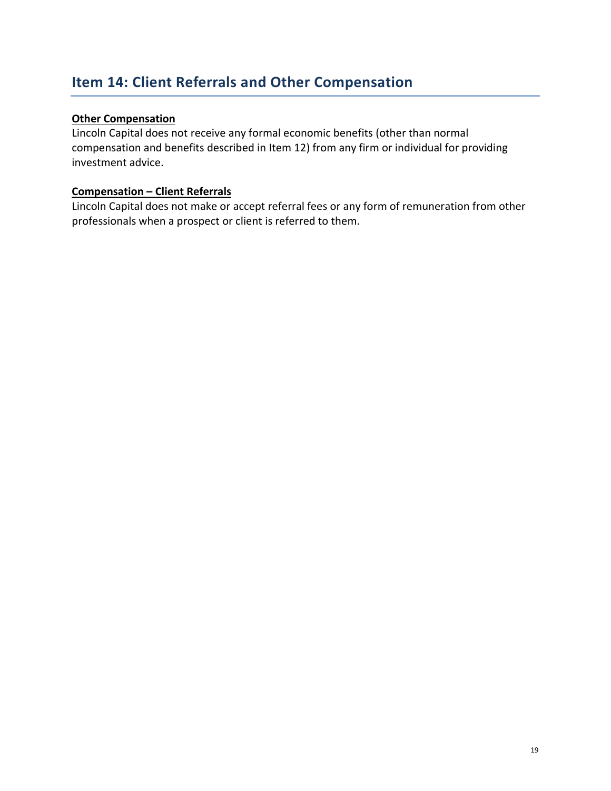### Item 14: Client Referrals and Other Compensation

#### **Other Compensation**

Lincoln Capital does not receive any formal economic benefits (other than normal compensation and benefits described in Item 12) from any firm or individual for providing investment advice.

#### Compensation – Client Referrals

Lincoln Capital does not make or accept referral fees or any form of remuneration from other professionals when a prospect or client is referred to them.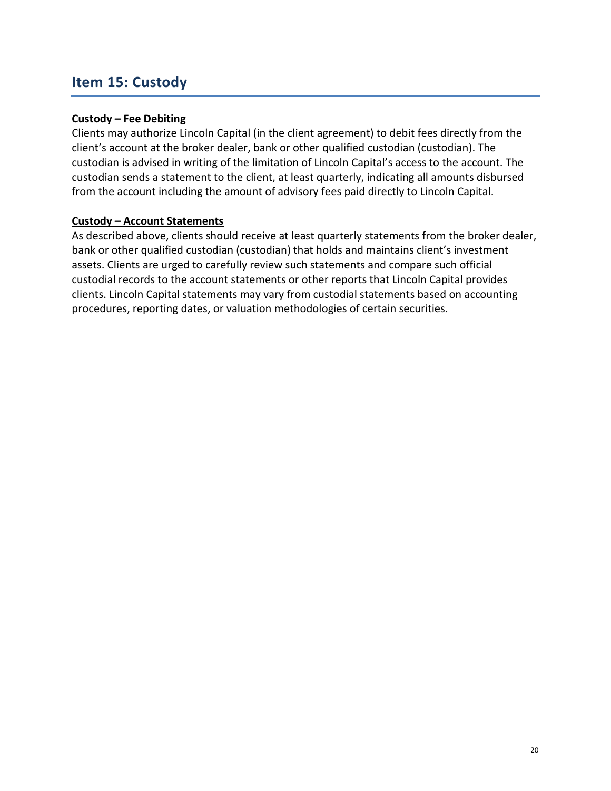### Item 15: Custody

#### Custody – Fee Debiting

Clients may authorize Lincoln Capital (in the client agreement) to debit fees directly from the client's account at the broker dealer, bank or other qualified custodian (custodian). The custodian is advised in writing of the limitation of Lincoln Capital's access to the account. The custodian sends a statement to the client, at least quarterly, indicating all amounts disbursed from the account including the amount of advisory fees paid directly to Lincoln Capital.

#### Custody – Account Statements

As described above, clients should receive at least quarterly statements from the broker dealer, bank or other qualified custodian (custodian) that holds and maintains client's investment assets. Clients are urged to carefully review such statements and compare such official custodial records to the account statements or other reports that Lincoln Capital provides clients. Lincoln Capital statements may vary from custodial statements based on accounting procedures, reporting dates, or valuation methodologies of certain securities.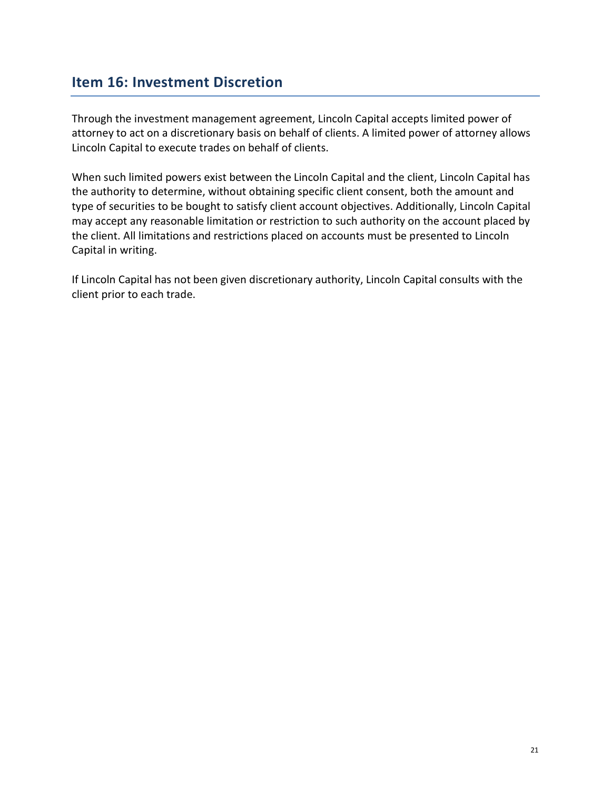### Item 16: Investment Discretion

Through the investment management agreement, Lincoln Capital accepts limited power of attorney to act on a discretionary basis on behalf of clients. A limited power of attorney allows Lincoln Capital to execute trades on behalf of clients.

When such limited powers exist between the Lincoln Capital and the client, Lincoln Capital has the authority to determine, without obtaining specific client consent, both the amount and type of securities to be bought to satisfy client account objectives. Additionally, Lincoln Capital may accept any reasonable limitation or restriction to such authority on the account placed by the client. All limitations and restrictions placed on accounts must be presented to Lincoln Capital in writing.

If Lincoln Capital has not been given discretionary authority, Lincoln Capital consults with the client prior to each trade.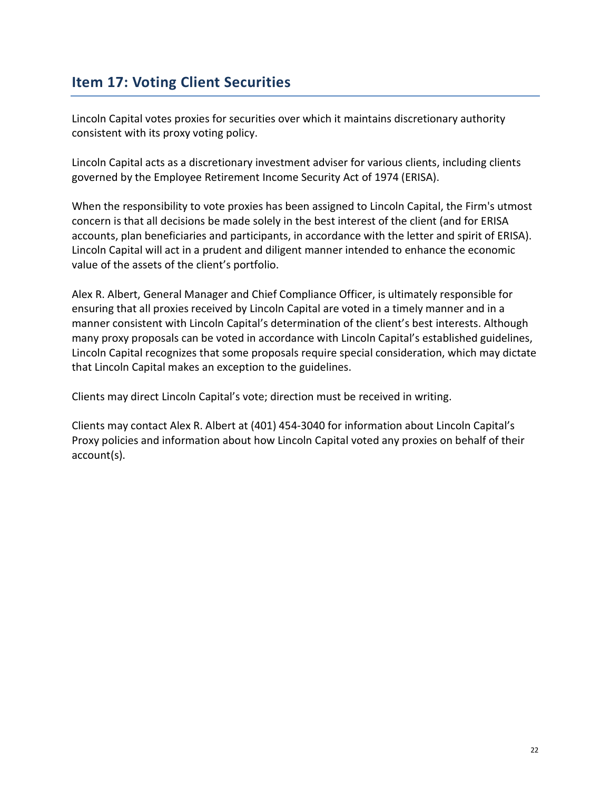## Item 17: Voting Client Securities

Lincoln Capital votes proxies for securities over which it maintains discretionary authority consistent with its proxy voting policy.

Lincoln Capital acts as a discretionary investment adviser for various clients, including clients governed by the Employee Retirement Income Security Act of 1974 (ERISA).

When the responsibility to vote proxies has been assigned to Lincoln Capital, the Firm's utmost concern is that all decisions be made solely in the best interest of the client (and for ERISA accounts, plan beneficiaries and participants, in accordance with the letter and spirit of ERISA). Lincoln Capital will act in a prudent and diligent manner intended to enhance the economic value of the assets of the client's portfolio.

Alex R. Albert, General Manager and Chief Compliance Officer, is ultimately responsible for ensuring that all proxies received by Lincoln Capital are voted in a timely manner and in a manner consistent with Lincoln Capital's determination of the client's best interests. Although many proxy proposals can be voted in accordance with Lincoln Capital's established guidelines, Lincoln Capital recognizes that some proposals require special consideration, which may dictate that Lincoln Capital makes an exception to the guidelines.

Clients may direct Lincoln Capital's vote; direction must be received in writing.

Clients may contact Alex R. Albert at (401) 454-3040 for information about Lincoln Capital's Proxy policies and information about how Lincoln Capital voted any proxies on behalf of their account(s).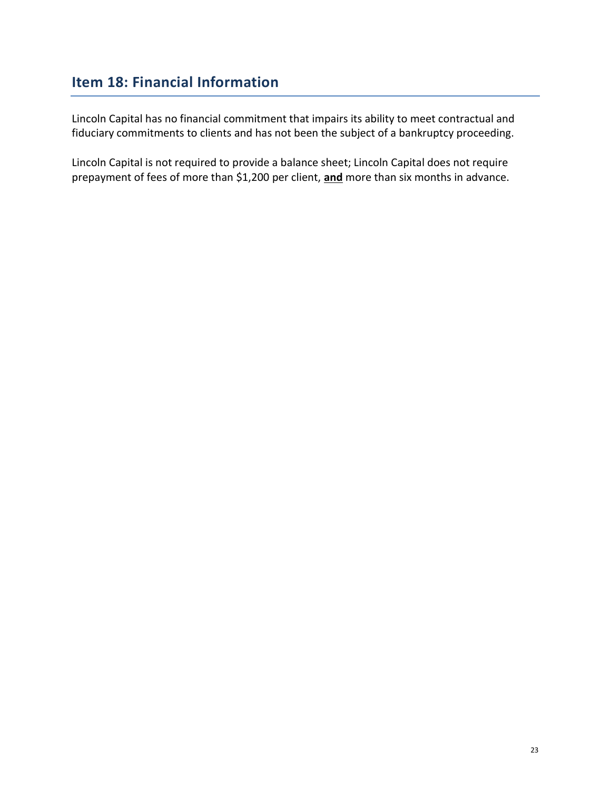## Item 18: Financial Information

Lincoln Capital has no financial commitment that impairs its ability to meet contractual and fiduciary commitments to clients and has not been the subject of a bankruptcy proceeding.

Lincoln Capital is not required to provide a balance sheet; Lincoln Capital does not require prepayment of fees of more than \$1,200 per client, and more than six months in advance.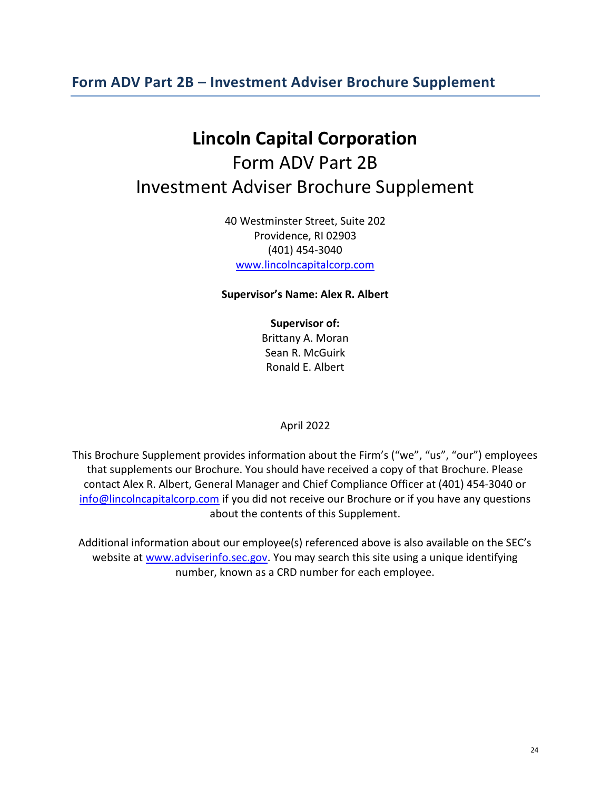### Form ADV Part 2B – Investment Adviser Brochure Supplement

# Lincoln Capital Corporation Form ADV Part 2B Investment Adviser Brochure Supplement

40 Westminster Street, Suite 202 Providence, RI 02903 (401) 454-3040 www.lincolncapitalcorp.com

#### Supervisor's Name: Alex R. Albert

Supervisor of: Brittany A. Moran Sean R. McGuirk Ronald E. Albert

#### April 2022

This Brochure Supplement provides information about the Firm's ("we", "us", "our") employees that supplements our Brochure. You should have received a copy of that Brochure. Please contact Alex R. Albert, General Manager and Chief Compliance Officer at (401) 454-3040 or info@lincolncapitalcorp.com if you did not receive our Brochure or if you have any questions about the contents of this Supplement.

Additional information about our employee(s) referenced above is also available on the SEC's website at www.adviserinfo.sec.gov. You may search this site using a unique identifying number, known as a CRD number for each employee.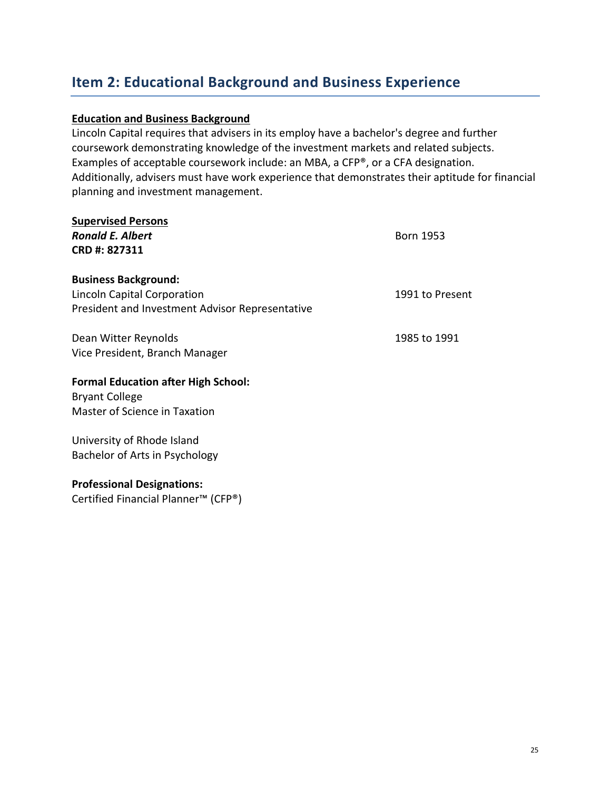## Item 2: Educational Background and Business Experience

#### Education and Business Background

Lincoln Capital requires that advisers in its employ have a bachelor's degree and further coursework demonstrating knowledge of the investment markets and related subjects. Examples of acceptable coursework include: an MBA, a CFP®, or a CFA designation. Additionally, advisers must have work experience that demonstrates their aptitude for financial planning and investment management.

| <b>Supervised Persons</b><br><b>Ronald E. Albert</b><br>CRD#: 827311                                                                                                 | <b>Born 1953</b> |
|----------------------------------------------------------------------------------------------------------------------------------------------------------------------|------------------|
| <b>Business Background:</b><br>Lincoln Capital Corporation<br>President and Investment Advisor Representative                                                        | 1991 to Present  |
| Dean Witter Reynolds<br>Vice President, Branch Manager                                                                                                               | 1985 to 1991     |
| <b>Formal Education after High School:</b><br><b>Bryant College</b><br>Master of Science in Taxation<br>University of Rhode Island<br>Bachelor of Arts in Psychology |                  |
| <b>Professional Designations:</b>                                                                                                                                    |                  |

Certified Financial Planner™ (CFP®)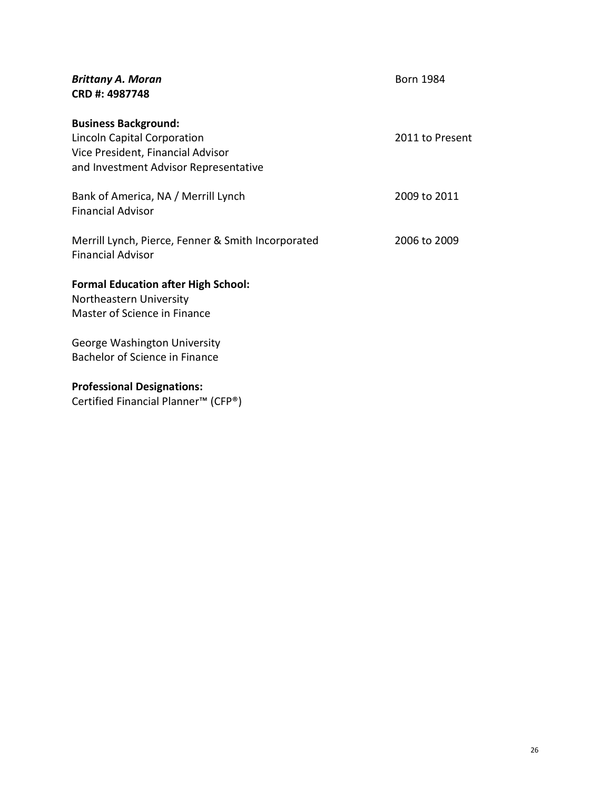| <b>Brittany A. Moran</b><br>CRD #: 4987748                                                                                               | <b>Born 1984</b> |
|------------------------------------------------------------------------------------------------------------------------------------------|------------------|
| <b>Business Background:</b><br>Lincoln Capital Corporation<br>Vice President, Financial Advisor<br>and Investment Advisor Representative | 2011 to Present  |
| Bank of America, NA / Merrill Lynch<br><b>Financial Advisor</b>                                                                          | 2009 to 2011     |
| Merrill Lynch, Pierce, Fenner & Smith Incorporated<br><b>Financial Advisor</b>                                                           | 2006 to 2009     |
| <b>Formal Education after High School:</b><br>Northeastern University<br>Master of Science in Finance                                    |                  |
| George Washington University<br>Bachelor of Science in Finance                                                                           |                  |
| <b>Professional Designations:</b>                                                                                                        |                  |

Certified Financial Planner™ (CFP®)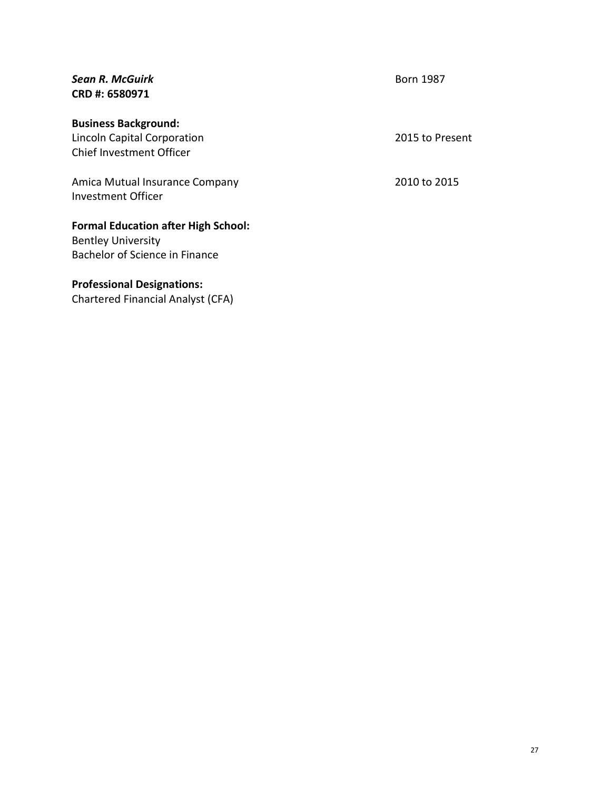**Sean R. McGuirk Born 1987** CRD #: 6580971

#### Business Background:

Lincoln Capital Corporation 2015 to Present Chief Investment Officer

Amica Mutual Insurance Company 2010 to 2015 Investment Officer

#### Formal Education after High School:

Bentley University Bachelor of Science in Finance

#### Professional Designations:

Chartered Financial Analyst (CFA)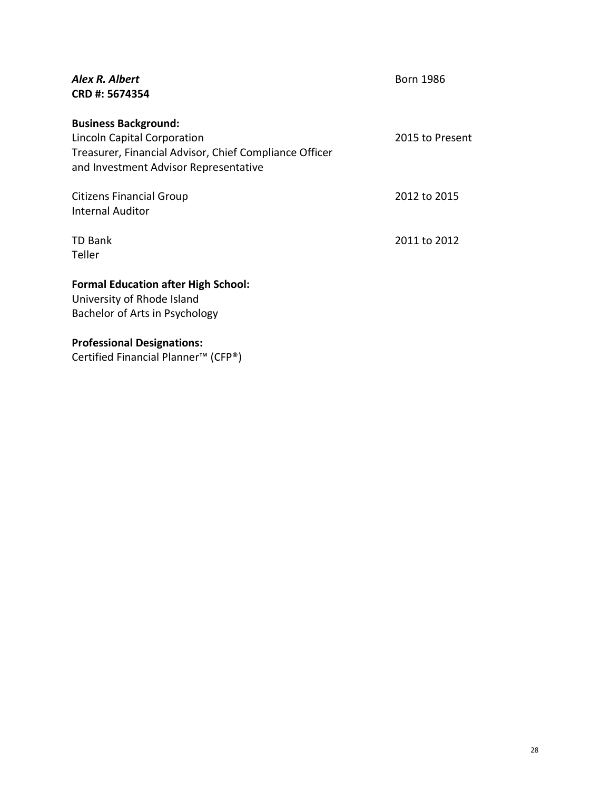| Alex R. Albert<br>CRD #: 5674354                                                                                                                              | <b>Born 1986</b> |
|---------------------------------------------------------------------------------------------------------------------------------------------------------------|------------------|
| <b>Business Background:</b><br>Lincoln Capital Corporation<br>Treasurer, Financial Advisor, Chief Compliance Officer<br>and Investment Advisor Representative | 2015 to Present  |
| <b>Citizens Financial Group</b><br><b>Internal Auditor</b>                                                                                                    | 2012 to 2015     |
| <b>TD Bank</b><br>Teller                                                                                                                                      | 2011 to 2012     |
| <b>Formal Education after High School:</b><br>University of Rhode Island<br>Bachelor of Arts in Psychology                                                    |                  |
| Busfassicus I Besteusti                                                                                                                                       |                  |

Professional Designations: Certified Financial Planner™ (CFP®)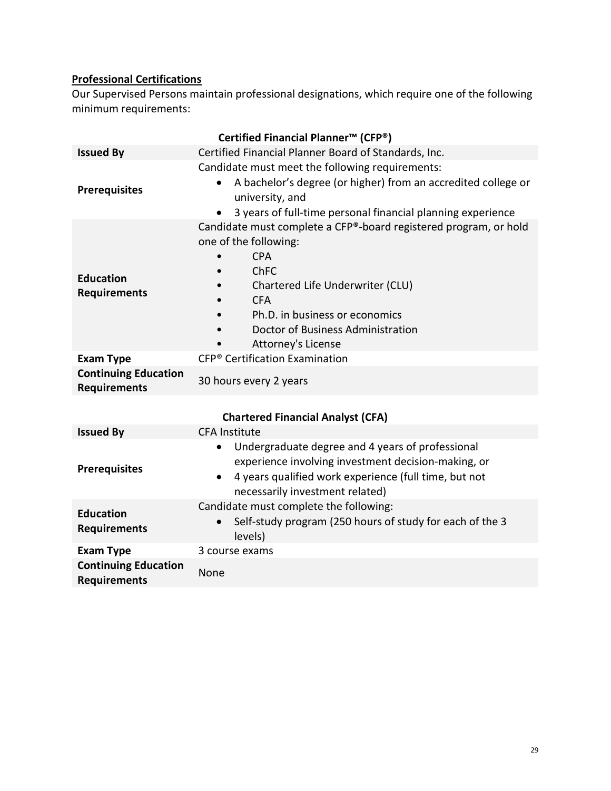#### Professional Certifications

Our Supervised Persons maintain professional designations, which require one of the following minimum requirements:

| Certified Financial Planner <sup>™</sup> (CFP <sup>®</sup> ) |                                                                                                                                                                                                                                                                       |  |
|--------------------------------------------------------------|-----------------------------------------------------------------------------------------------------------------------------------------------------------------------------------------------------------------------------------------------------------------------|--|
| <b>Issued By</b>                                             | Certified Financial Planner Board of Standards, Inc.                                                                                                                                                                                                                  |  |
| <b>Prerequisites</b>                                         | Candidate must meet the following requirements:<br>A bachelor's degree (or higher) from an accredited college or<br>$\bullet$<br>university, and<br>3 years of full-time personal financial planning experience                                                       |  |
| <b>Education</b><br><b>Requirements</b>                      | Candidate must complete a CFP®-board registered program, or hold<br>one of the following:<br><b>CPA</b><br><b>ChFC</b><br>Chartered Life Underwriter (CLU)<br><b>CFA</b><br>Ph.D. in business or economics<br>Doctor of Business Administration<br>Attorney's License |  |
| <b>Exam Type</b>                                             | CFP <sup>®</sup> Certification Examination                                                                                                                                                                                                                            |  |
| <b>Continuing Education</b><br><b>Requirements</b>           | 30 hours every 2 years                                                                                                                                                                                                                                                |  |
|                                                              | <b>Chartered Financial Analyst (CFA)</b>                                                                                                                                                                                                                              |  |
| <b>Issued By</b>                                             | <b>CFA Institute</b>                                                                                                                                                                                                                                                  |  |
| <b>Prerequisites</b>                                         | Undergraduate degree and 4 years of professional<br>$\bullet$<br>experience involving investment decision-making, or<br>4 years qualified work experience (full time, but not<br>$\bullet$<br>necessarily investment related)                                         |  |
| E al 19                                                      | Candidate must complete the following:                                                                                                                                                                                                                                |  |

| <b>Education</b><br><b>Requirements</b>            | Candidate must complete the following:<br>Self-study program (250 hours of study for each of the 3<br>levels) |
|----------------------------------------------------|---------------------------------------------------------------------------------------------------------------|
| Exam Type                                          | 3 course exams                                                                                                |
| <b>Continuing Education</b><br><b>Requirements</b> | None                                                                                                          |